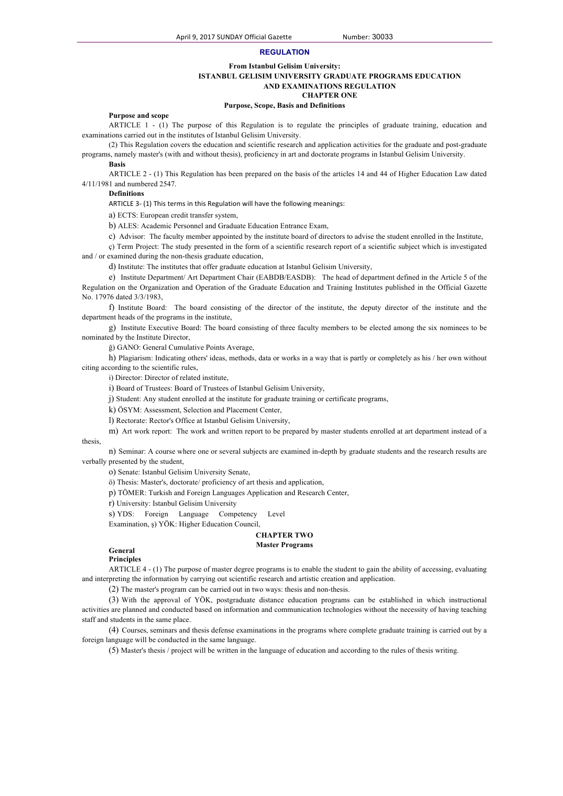### **REGULATION**

### **From Istanbul Gelisim University:**

### **ISTANBUL GELISIM UNIVERSITY GRADUATE PROGRAMS EDUCATION AND EXAMINATIONS REGULATION**

**CHAPTER ONE**

# **Purpose, Scope, Basis and Definitions**

### **Purpose and scope**

ARTICLE 1 - (1) The purpose of this Regulation is to regulate the principles of graduate training, education and examinations carried out in the institutes of Istanbul Gelisim University.

(2) This Regulation covers the education and scientific research and application activities for the graduate and post-graduate programs, namely master's (with and without thesis), proficiency in art and doctorate programs in Istanbul Gelisim University.

# **Basis**

ARTICLE 2 - (1) This Regulation has been prepared on the basis of the articles 14 and 44 of Higher Education Law dated 4/11/1981 and numbered 2547.

### **Definitions**

ARTICLE 3- (1) This terms in this Regulation will have the following meanings:

a) ECTS: European credit transfer system,

b) ALES: Academic Personnel and Graduate Education Entrance Exam,

c) Advisor: The faculty member appointed by the institute board of directors to advise the student enrolled in the Institute,

ç) Term Project: The study presented in the form of a scientific research report of a scientific subject which is investigated and / or examined during the non-thesis graduate education,

d) Institute: The institutes that offer graduate education at Istanbul Gelisim University,

e) Institute Department/ Art Department Chair (EABDB/EASDB): The head of department defined in the Article 5 of the Regulation on the Organization and Operation of the Graduate Education and Training Institutes published in the Official Gazette No. 17976 dated 3/3/1983,

f) Institute Board: The board consisting of the director of the institute, the deputy director of the institute and the department heads of the programs in the institute,

g) Institute Executive Board: The board consisting of three faculty members to be elected among the six nominees to be nominated by the Institute Director,

ğ) GANO: General Cumulative Points Average,

h) Plagiarism: Indicating others' ideas, methods, data or works in a way that is partly or completely as his / her own without citing according to the scientific rules,

i) Director: Director of related institute,

i) Board of Trustees: Board of Trustees of Istanbul Gelisim University,

j) Student: Any student enrolled at the institute for graduate training or certificate programs,

k) ÖSYM: Assessment, Selection and Placement Center,

l) Rectorate: Rector's Office at Istanbul Gelisim University,

m) Art work report: The work and written report to be prepared by master students enrolled at art department instead of a thesis,

n) Seminar: A course where one or several subjects are examined in-depth by graduate students and the research results are verbally presented by the student,

o) Senate: Istanbul Gelisim University Senate,

ö) Thesis: Master's, doctorate/ proficiency of art thesis and application,

p) TÖMER: Turkish and Foreign Languages Application and Research Center,

r) University: Istanbul Gelisim University

s) YDS: Foreign Language Competency Level

Examination, ş) YÖK: Higher Education Council,

### **CHAPTER TWO Master Programs**

# **General**

**Principles**

ARTICLE 4 - (1) The purpose of master degree programs is to enable the student to gain the ability of accessing, evaluating and interpreting the information by carrying out scientific research and artistic creation and application.

(2) The master's program can be carried out in two ways: thesis and non-thesis.

(3) With the approval of YÖK, postgraduate distance education programs can be established in which instructional activities are planned and conducted based on information and communication technologies without the necessity of having teaching staff and students in the same place.

(4) Courses, seminars and thesis defense examinations in the programs where complete graduate training is carried out by a foreign language will be conducted in the same language.

(5) Master's thesis / project will be written in the language of education and according to the rules of thesis writing.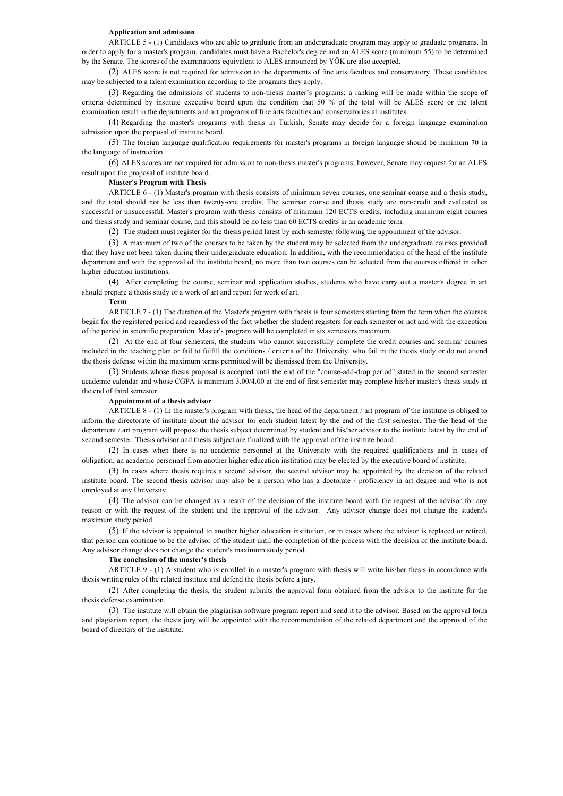### **Application and admission**

ARTICLE 5 - (1) Candidates who are able to graduate from an undergraduate program may apply to graduate programs. In order to apply for a master's program, candidates must have a Bachelor's degree and an ALES score (minimum 55) to be determined by the Senate. The scores of the examinations equivalent to ALES announced by YÖK are also accepted.

(2) ALES score is not required for admission to the departments of fine arts faculties and conservatory. These candidates may be subjected to a talent examination according to the programs they apply.

(3) Regarding the admissions of students to non-thesis master's programs; a ranking will be made within the scope of criteria determined by institute executive board upon the condition that 50 % of the total will be ALES score or the talent examination result in the departments and art programs of fine arts faculties and conservatories at institutes.

(4) Regarding the master's programs with thesis in Turkish, Senate may decide for a foreign language examination admission upon the proposal of institute board.

(5) The foreign language qualification requirements for master's programs in foreign language should be minimum 70 in the language of instruction.

(6) ALES scores are not required for admission to non-thesis master's programs; however, Senate may request for an ALES result upon the proposal of institute board.

### **Master's Program with Thesis**

ARTICLE 6 - (1) Master's program with thesis consists of minimum seven courses, one seminar course and a thesis study, and the total should not be less than twenty-one credits. The seminar course and thesis study are non-credit and evaluated as successful or unsuccessful. Master's program with thesis consists of minimum 120 ECTS credits, including minimum eight courses and thesis study and seminar course, and this should be no less than 60 ECTS credits in an academic term.

(2) The student must register for the thesis period latest by each semester following the appointment of the advisor.

(3) A maximum of two of the courses to be taken by the student may be selected from the undergraduate courses provided that they have not been taken during their undergraduate education. In addition, with the recommendation of the head of the institute department and with the approval of the institute board, no more than two courses can be selected from the courses offered in other higher education institutions.

(4) After completing the course, seminar and application studies, students who have carry out a master's degree in art should prepare a thesis study or a work of art and report for work of art.

### **Term**

ARTICLE 7 - (1) The duration of the Master's program with thesis is four semesters starting from the term when the courses begin for the registered period and regardless of the fact whether the student registers for each semester or not and with the exception of the period in scientific preparation. Master's program will be completed in six semesters maximum.

(2) At the end of four semesters, the students who cannot successfully complete the credit courses and seminar courses included in the teaching plan or fail to fulfill the conditions / criteria of the University. who fail in the thesis study or do not attend the thesis defense within the maximum terms permitted will be dismissed from the University.

(3) Students whose thesis proposal is accepted until the end of the "course-add-drop period" stated in the second semester academic calendar and whose CGPA is minimum 3.00/4.00 at the end of first semester may complete his/her master's thesis study at the end of third semester.

### **Appointment of a thesis advisor**

ARTICLE 8 - (1) In the master's program with thesis, the head of the department / art program of the institute is obliged to inform the directorate of institute about the advisor for each student latest by the end of the first semester. The the head of the department / art program will propose the thesis subject determined by student and his/her advisor to the institute latest by the end of second semester. Thesis advisor and thesis subject are finalized with the approval of the institute board.

(2) In cases when there is no academic personnel at the University with the required qualifications and in cases of obligation; an academic personnel from another higher education institution may be elected by the executive board of institute.

(3) In cases where thesis requires a second advisor, the second advisor may be appointed by the decision of the related institute board. The second thesis advisor may also be a person who has a doctorate / proficiency in art degree and who is not employed at any University.

(4) The advisor can be changed as a result of the decision of the institute board with the request of the advisor for any reason or with the request of the student and the approval of the advisor. Any advisor change does not change the student's maximum study period.

(5) If the advisor is appointed to another higher education institution, or in cases where the advisor is replaced or retired, that person can continue to be the advisor of the student until the completion of the process with the decision of the institute board. Any advisor change does not change the student's maximum study period.

#### **The conclusion of the master's thesis**

ARTICLE 9 - (1) A student who is enrolled in a master's program with thesis will write his/her thesis in accordance with thesis writing rules of the related institute and defend the thesis before a jury.

(2) After completing the thesis, the student submits the approval form obtained from the advisor to the institute for the thesis defense examination.

(3) The institute will obtain the plagiarism software program report and send it to the advisor. Based on the approval form and plagiarism report, the thesis jury will be appointed with the recommendation of the related department and the approval of the board of directors of the institute.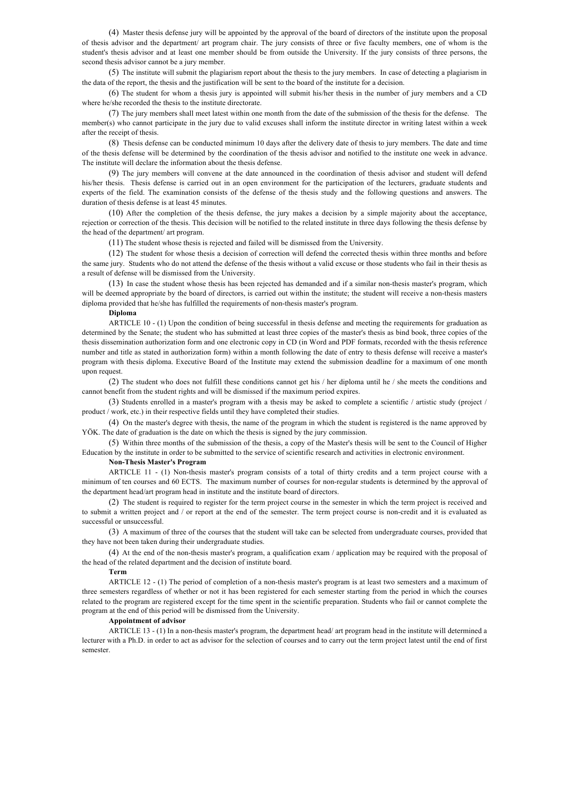(4) Master thesis defense jury will be appointed by the approval of the board of directors of the institute upon the proposal of thesis advisor and the department/ art program chair. The jury consists of three or five faculty members, one of whom is the student's thesis advisor and at least one member should be from outside the University. If the jury consists of three persons, the second thesis advisor cannot be a jury member.

(5) The institute will submit the plagiarism report about the thesis to the jury members. In case of detecting a plagiarism in the data of the report, the thesis and the justification will be sent to the board of the institute for a decision.

(6) The student for whom a thesis jury is appointed will submit his/her thesis in the number of jury members and a CD where he/she recorded the thesis to the institute directorate.

(7) The jury members shall meet latest within one month from the date of the submission of the thesis for the defense. The member(s) who cannot participate in the jury due to valid excuses shall inform the institute director in writing latest within a week after the receipt of thesis.

(8) Thesis defense can be conducted minimum 10 days after the delivery date of thesis to jury members. The date and time of the thesis defense will be determined by the coordination of the thesis advisor and notified to the institute one week in advance. The institute will declare the information about the thesis defense.

(9) The jury members will convene at the date announced in the coordination of thesis advisor and student will defend his/her thesis. Thesis defense is carried out in an open environment for the participation of the lecturers, graduate students and experts of the field. The examination consists of the defense of the thesis study and the following questions and answers. The duration of thesis defense is at least 45 minutes.

(10) After the completion of the thesis defense, the jury makes a decision by a simple majority about the acceptance, rejection or correction of the thesis. This decision will be notified to the related institute in three days following the thesis defense by the head of the department/ art program.

(11) The student whose thesis is rejected and failed will be dismissed from the University.

(12) The student for whose thesis a decision of correction will defend the corrected thesis within three months and before the same jury. Students who do not attend the defense of the thesis without a valid excuse or those students who fail in their thesis as a result of defense will be dismissed from the University.

(13) In case the student whose thesis has been rejected has demanded and if a similar non-thesis master's program, which will be deemed appropriate by the board of directors, is carried out within the institute; the student will receive a non-thesis masters diploma provided that he/she has fulfilled the requirements of non-thesis master's program.

### **Diploma**

ARTICLE 10 - (1) Upon the condition of being successful in thesis defense and meeting the requirements for graduation as determined by the Senate; the student who has submitted at least three copies of the master's thesis as bind book, three copies of the thesis dissemination authorization form and one electronic copy in CD (in Word and PDF formats, recorded with the thesis reference number and title as stated in authorization form) within a month following the date of entry to thesis defense will receive a master's program with thesis diploma. Executive Board of the Institute may extend the submission deadline for a maximum of one month upon request.

(2) The student who does not fulfill these conditions cannot get his / her diploma until he / she meets the conditions and cannot benefit from the student rights and will be dismissed if the maximum period expires.

(3) Students enrolled in a master's program with a thesis may be asked to complete a scientific / artistic study (project / product / work, etc.) in their respective fields until they have completed their studies.

(4) On the master's degree with thesis, the name of the program in which the student is registered is the name approved by YÖK. The date of graduation is the date on which the thesis is signed by the jury commission.

(5) Within three months of the submission of the thesis, a copy of the Master's thesis will be sent to the Council of Higher Education by the institute in order to be submitted to the service of scientific research and activities in electronic environment.

#### **Non-Thesis Master's Program**

ARTICLE 11 - (1) Non-thesis master's program consists of a total of thirty credits and a term project course with a minimum of ten courses and 60 ECTS. The maximum number of courses for non-regular students is determined by the approval of the department head/art program head in institute and the institute board of directors.

(2) The student is required to register for the term project course in the semester in which the term project is received and to submit a written project and / or report at the end of the semester. The term project course is non-credit and it is evaluated as successful or unsuccessful.

(3) A maximum of three of the courses that the student will take can be selected from undergraduate courses, provided that they have not been taken during their undergraduate studies.

(4) At the end of the non-thesis master's program, a qualification exam / application may be required with the proposal of the head of the related department and the decision of institute board.

#### **Term**

ARTICLE 12 - (1) The period of completion of a non-thesis master's program is at least two semesters and a maximum of three semesters regardless of whether or not it has been registered for each semester starting from the period in which the courses related to the program are registered except for the time spent in the scientific preparation. Students who fail or cannot complete the program at the end of this period will be dismissed from the University.

#### **Appointment of advisor**

ARTICLE 13 - (1) In a non-thesis master's program, the department head/ art program head in the institute will determined a lecturer with a Ph.D. in order to act as advisor for the selection of courses and to carry out the term project latest until the end of first semester.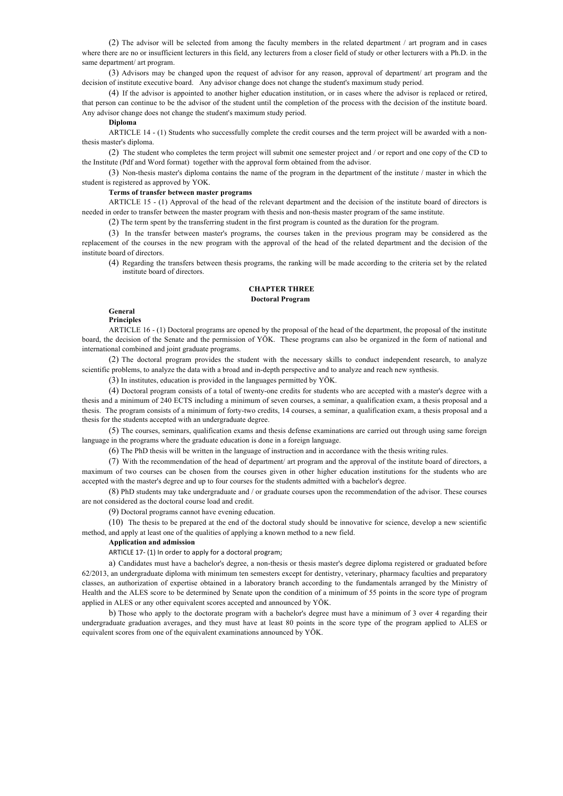(2) The advisor will be selected from among the faculty members in the related department / art program and in cases where there are no or insufficient lecturers in this field, any lecturers from a closer field of study or other lecturers with a Ph.D. in the same department/ art program.

(3) Advisors may be changed upon the request of advisor for any reason, approval of department/ art program and the decision of institute executive board. Any advisor change does not change the student's maximum study period.

(4) If the advisor is appointed to another higher education institution, or in cases where the advisor is replaced or retired, that person can continue to be the advisor of the student until the completion of the process with the decision of the institute board. Any advisor change does not change the student's maximum study period.

### **Diploma**

ARTICLE 14 - (1) Students who successfully complete the credit courses and the term project will be awarded with a nonthesis master's diploma.

(2) The student who completes the term project will submit one semester project and / or report and one copy of the CD to the Institute (Pdf and Word format) together with the approval form obtained from the advisor.

(3) Non-thesis master's diploma contains the name of the program in the department of the institute / master in which the student is registered as approved by YOK.

### **Terms of transfer between master programs**

ARTICLE 15 - (1) Approval of the head of the relevant department and the decision of the institute board of directors is needed in order to transfer between the master program with thesis and non-thesis master program of the same institute.

(2) The term spent by the transferring student in the first program is counted as the duration for the program.

(3) In the transfer between master's programs, the courses taken in the previous program may be considered as the replacement of the courses in the new program with the approval of the head of the related department and the decision of the institute board of directors.

(4) Regarding the transfers between thesis programs, the ranking will be made according to the criteria set by the related institute board of directors.

# **CHAPTER THREE Doctoral Program**

# **General**

**Principles**

ARTICLE 16 - (1) Doctoral programs are opened by the proposal of the head of the department, the proposal of the institute board, the decision of the Senate and the permission of YÖK. These programs can also be organized in the form of national and international combined and joint graduate programs.

(2) The doctoral program provides the student with the necessary skills to conduct independent research, to analyze scientific problems, to analyze the data with a broad and in-depth perspective and to analyze and reach new synthesis.

(3) In institutes, education is provided in the languages permitted by YÖK.

(4) Doctoral program consists of a total of twenty-one credits for students who are accepted with a master's degree with a thesis and a minimum of 240 ECTS including a minimum of seven courses, a seminar, a qualification exam, a thesis proposal and a thesis. The program consists of a minimum of forty-two credits, 14 courses, a seminar, a qualification exam, a thesis proposal and a thesis for the students accepted with an undergraduate degree.

(5) The courses, seminars, qualification exams and thesis defense examinations are carried out through using same foreign language in the programs where the graduate education is done in a foreign language.

(6) The PhD thesis will be written in the language of instruction and in accordance with the thesis writing rules.

(7) With the recommendation of the head of department/ art program and the approval of the institute board of directors, a maximum of two courses can be chosen from the courses given in other higher education institutions for the students who are accepted with the master's degree and up to four courses for the students admitted with a bachelor's degree.

(8) PhD students may take undergraduate and / or graduate courses upon the recommendation of the advisor. These courses are not considered as the doctoral course load and credit.

(9) Doctoral programs cannot have evening education.

(10) The thesis to be prepared at the end of the doctoral study should be innovative for science, develop a new scientific method, and apply at least one of the qualities of applying a known method to a new field.

# **Application and admission**

ARTICLE 17- (1) In order to apply for a doctoral program;

a) Candidates must have a bachelor's degree, a non-thesis or thesis master's degree diploma registered or graduated before 62/2013, an undergraduate diploma with minimum ten semesters except for dentistry, veterinary, pharmacy faculties and preparatory classes, an authorization of expertise obtained in a laboratory branch according to the fundamentals arranged by the Ministry of Health and the ALES score to be determined by Senate upon the condition of a minimum of 55 points in the score type of program applied in ALES or any other equivalent scores accepted and announced by YÖK.

b) Those who apply to the doctorate program with a bachelor's degree must have a minimum of 3 over 4 regarding their undergraduate graduation averages, and they must have at least 80 points in the score type of the program applied to ALES or equivalent scores from one of the equivalent examinations announced by YÖK.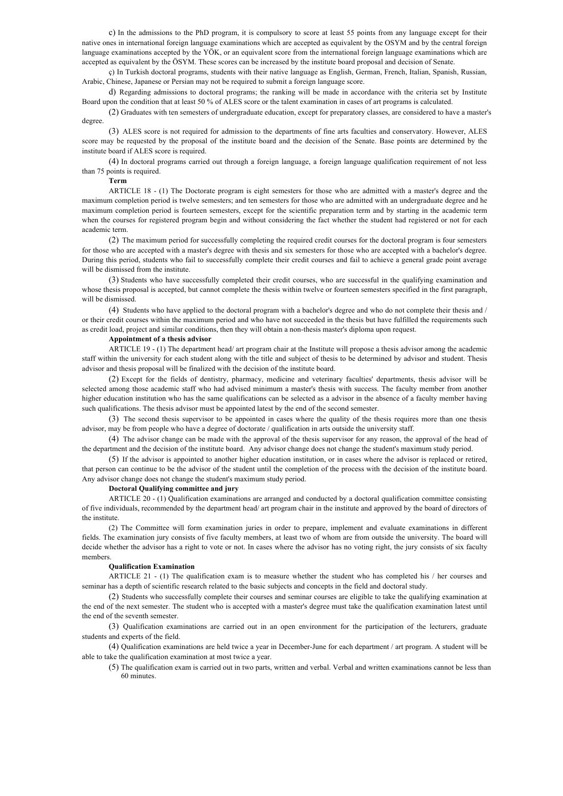c) In the admissions to the PhD program, it is compulsory to score at least 55 points from any language except for their native ones in international foreign language examinations which are accepted as equivalent by the OSYM and by the central foreign language examinations accepted by the YÖK, or an equivalent score from the international foreign language examinations which are accepted as equivalent by the ÖSYM. These scores can be increased by the institute board proposal and decision of Senate.

ç) In Turkish doctoral programs, students with their native language as English, German, French, Italian, Spanish, Russian, Arabic, Chinese, Japanese or Persian may not be required to submit a foreign language score.

d) Regarding admissions to doctoral programs; the ranking will be made in accordance with the criteria set by Institute Board upon the condition that at least 50 % of ALES score or the talent examination in cases of art programs is calculated.

(2) Graduates with ten semesters of undergraduate education, except for preparatory classes, are considered to have a master's degree.

(3) ALES score is not required for admission to the departments of fine arts faculties and conservatory. However, ALES score may be requested by the proposal of the institute board and the decision of the Senate. Base points are determined by the institute board if ALES score is required.

(4) In doctoral programs carried out through a foreign language, a foreign language qualification requirement of not less than 75 points is required.

# **Term**

ARTICLE 18 - (1) The Doctorate program is eight semesters for those who are admitted with a master's degree and the maximum completion period is twelve semesters; and ten semesters for those who are admitted with an undergraduate degree and he maximum completion period is fourteen semesters, except for the scientific preparation term and by starting in the academic term when the courses for registered program begin and without considering the fact whether the student had registered or not for each academic term.

(2) The maximum period for successfully completing the required credit courses for the doctoral program is four semesters for those who are accepted with a master's degree with thesis and six semesters for those who are accepted with a bachelor's degree. During this period, students who fail to successfully complete their credit courses and fail to achieve a general grade point average will be dismissed from the institute.

(3) Students who have successfully completed their credit courses, who are successful in the qualifying examination and whose thesis proposal is accepted, but cannot complete the thesis within twelve or fourteen semesters specified in the first paragraph, will be dismissed.

(4) Students who have applied to the doctoral program with a bachelor's degree and who do not complete their thesis and / or their credit courses within the maximum period and who have not succeeded in the thesis but have fulfilled the requirements such as credit load, project and similar conditions, then they will obtain a non-thesis master's diploma upon request.

### **Appointment of a thesis advisor**

ARTICLE 19 - (1) The department head/ art program chair at the Institute will propose a thesis advisor among the academic staff within the university for each student along with the title and subject of thesis to be determined by advisor and student. Thesis advisor and thesis proposal will be finalized with the decision of the institute board.

(2) Except for the fields of dentistry, pharmacy, medicine and veterinary faculties' departments, thesis advisor will be selected among those academic staff who had advised minimum a master's thesis with success. The faculty member from another higher education institution who has the same qualifications can be selected as a advisor in the absence of a faculty member having such qualifications. The thesis advisor must be appointed latest by the end of the second semester.

(3) The second thesis supervisor to be appointed in cases where the quality of the thesis requires more than one thesis advisor, may be from people who have a degree of doctorate / qualification in arts outside the university staff.

(4) The advisor change can be made with the approval of the thesis supervisor for any reason, the approval of the head of the department and the decision of the institute board. Any advisor change does not change the student's maximum study period.

(5) If the advisor is appointed to another higher education institution, or in cases where the advisor is replaced or retired, that person can continue to be the advisor of the student until the completion of the process with the decision of the institute board. Any advisor change does not change the student's maximum study period.

#### **Doctoral Qualifying committee and jury**

ARTICLE 20 - (1) Qualification examinations are arranged and conducted by a doctoral qualification committee consisting of five individuals, recommended by the department head/ art program chair in the institute and approved by the board of directors of the institute.

(2) The Committee will form examination juries in order to prepare, implement and evaluate examinations in different fields. The examination jury consists of five faculty members, at least two of whom are from outside the university. The board will decide whether the advisor has a right to vote or not. In cases where the advisor has no voting right, the jury consists of six faculty members.

#### **Qualification Examination**

ARTICLE 21 - (1) The qualification exam is to measure whether the student who has completed his / her courses and seminar has a depth of scientific research related to the basic subjects and concepts in the field and doctoral study.

(2) Students who successfully complete their courses and seminar courses are eligible to take the qualifying examination at the end of the next semester. The student who is accepted with a master's degree must take the qualification examination latest until the end of the seventh semester.

(3) Qualification examinations are carried out in an open environment for the participation of the lecturers, graduate students and experts of the field.

(4) Qualification examinations are held twice a year in December-June for each department / art program. A student will be able to take the qualification examination at most twice a year.

(5) The qualification exam is carried out in two parts, written and verbal. Verbal and written examinations cannot be less than 60 minutes.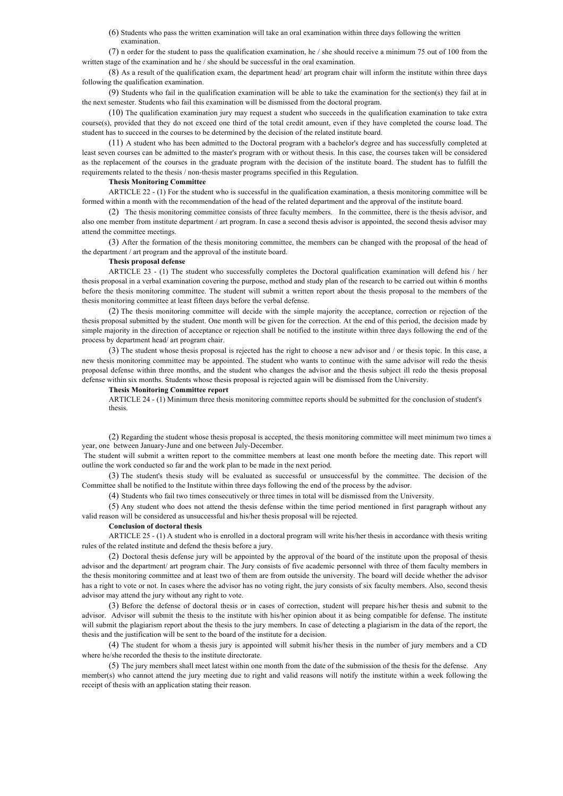(6) Students who pass the written examination will take an oral examination within three days following the written examination.

(7) n order for the student to pass the qualification examination, he / she should receive a minimum 75 out of 100 from the written stage of the examination and he / she should be successful in the oral examination.

(8) As a result of the qualification exam, the department head/ art program chair will inform the institute within three days following the qualification examination.

(9) Students who fail in the qualification examination will be able to take the examination for the section(s) they fail at in the next semester. Students who fail this examination will be dismissed from the doctoral program.

(10) The qualification examination jury may request a student who succeeds in the qualification examination to take extra course(s), provided that they do not exceed one third of the total credit amount, even if they have completed the course load. The student has to succeed in the courses to be determined by the decision of the related institute board.

(11) A student who has been admitted to the Doctoral program with a bachelor's degree and has successfully completed at least seven courses can be admitted to the master's program with or without thesis. In this case, the courses taken will be considered as the replacement of the courses in the graduate program with the decision of the institute board. The student has to fulfill the requirements related to the thesis / non-thesis master programs specified in this Regulation.

### **Thesis Monitoring Committee**

ARTICLE 22 - (1) For the student who is successful in the qualification examination, a thesis monitoring committee will be formed within a month with the recommendation of the head of the related department and the approval of the institute board.

(2) The thesis monitoring committee consists of three faculty members. In the committee, there is the thesis advisor, and also one member from institute department / art program. In case a second thesis advisor is appointed, the second thesis advisor may attend the committee meetings.

(3) After the formation of the thesis monitoring committee, the members can be changed with the proposal of the head of the department / art program and the approval of the institute board.

# **Thesis proposal defense**

ARTICLE 23 - (1) The student who successfully completes the Doctoral qualification examination will defend his / her thesis proposal in a verbal examination covering the purpose, method and study plan of the research to be carried out within 6 months before the thesis monitoring committee. The student will submit a written report about the thesis proposal to the members of the thesis monitoring committee at least fifteen days before the verbal defense.

(2) The thesis monitoring committee will decide with the simple majority the acceptance, correction or rejection of the thesis proposal submitted by the student. One month will be given for the correction. At the end of this period, the decision made by simple majority in the direction of acceptance or rejection shall be notified to the institute within three days following the end of the process by department head/ art program chair.

(3) The student whose thesis proposal is rejected has the right to choose a new advisor and / or thesis topic. In this case, a new thesis monitoring committee may be appointed. The student who wants to continue with the same advisor will redo the thesis proposal defense within three months, and the student who changes the advisor and the thesis subject ill redo the thesis proposal defense within six months. Students whose thesis proposal is rejected again will be dismissed from the University.

### **Thesis Monitoring Committee report**

ARTICLE 24 - (1) Minimum three thesis monitoring committee reports should be submitted for the conclusion of student's thesis.

(2) Regarding the student whose thesis proposal is accepted, the thesis monitoring committee will meet minimum two times a year, one between January-June and one between July-December.

The student will submit a written report to the committee members at least one month before the meeting date. This report will outline the work conducted so far and the work plan to be made in the next period.

(3) The student's thesis study will be evaluated as successful or unsuccessful by the committee. The decision of the Committee shall be notified to the Institute within three days following the end of the process by the advisor.

(4) Students who fail two times consecutively or three times in total will be dismissed from the University.

(5) Any student who does not attend the thesis defense within the time period mentioned in first paragraph without any valid reason will be considered as unsuccessful and his/her thesis proposal will be rejected.

# **Conclusion of doctoral thesis**

ARTICLE 25 - (1) A student who is enrolled in a doctoral program will write his/her thesis in accordance with thesis writing rules of the related institute and defend the thesis before a jury.

(2) Doctoral thesis defense jury will be appointed by the approval of the board of the institute upon the proposal of thesis advisor and the department/ art program chair. The Jury consists of five academic personnel with three of them faculty members in the thesis monitoring committee and at least two of them are from outside the university. The board will decide whether the advisor has a right to vote or not. In cases where the advisor has no voting right, the jury consists of six faculty members. Also, second thesis advisor may attend the jury without any right to vote.

(3) Before the defense of doctoral thesis or in cases of correction, student will prepare his/her thesis and submit to the advisor. Advisor will submit the thesis to the institute with his/her opinion about it as being compatible for defense. The institute will submit the plagiarism report about the thesis to the jury members. In case of detecting a plagiarism in the data of the report, the thesis and the justification will be sent to the board of the institute for a decision.

(4) The student for whom a thesis jury is appointed will submit his/her thesis in the number of jury members and a CD where he/she recorded the thesis to the institute directorate.

(5) The jury members shall meet latest within one month from the date of the submission of the thesis for the defense. Any member(s) who cannot attend the jury meeting due to right and valid reasons will notify the institute within a week following the receipt of thesis with an application stating their reason.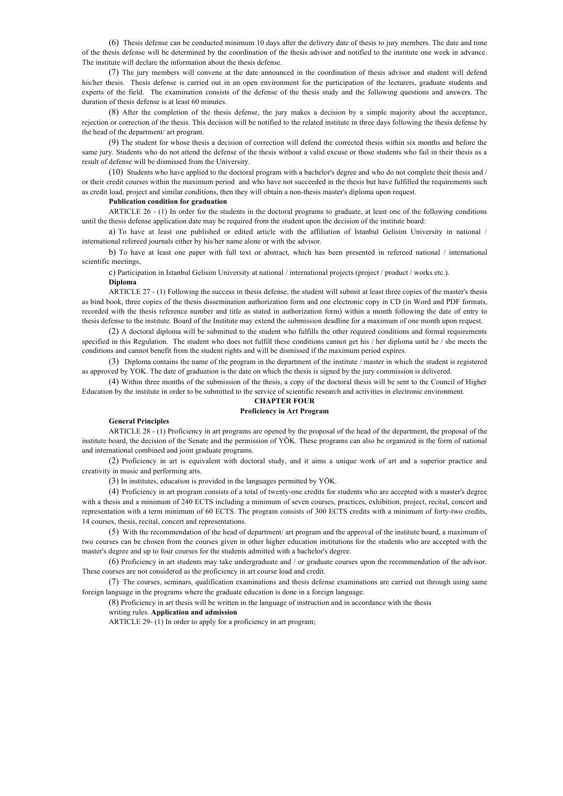(6) Thesis defense can be conducted minimum 10 days after the delivery date of thesis to jury members. The date and time of the thesis defense will be determined by the coordination of the thesis advisor and notified to the institute one week in advance. The institute will declare the information about the thesis defense.

(7) The jury members will convene at the date announced in the coordination of thesis advisor and student will defend his/her thesis. Thesis defense is carried out in an open environment for the participation of the lecturers, graduate students and experts of the field. The examination consists of the defense of the thesis study and the following questions and answers. The duration of thesis defense is at least 60 minutes.

(8) After the completion of the thesis defense, the jury makes a decision by a simple majority about the acceptance, rejection or correction of the thesis. This decision will be notified to the related institute in three days following the thesis defense by the head of the department/ art program.

(9) The student for whose thesis a decision of correction will defend the corrected thesis within six months and before the same jury. Students who do not attend the defense of the thesis without a valid excuse or those students who fail in their thesis as a result of defense will be dismissed from the University.

(10) Students who have applied to the doctoral program with a bachelor's degree and who do not complete their thesis and / or their credit courses within the maximum period and who have not succeeded in the thesis but have fulfilled the requirements such as credit load, project and similar conditions, then they will obtain a non-thesis master's diploma upon request.

# **Publication condition for graduation**

ARTICLE 26 - (1) In order for the students in the doctoral programs to graduate, at least one of the following conditions until the thesis defense application date may be required from the student upon the decision of the institute board:

a) To have at least one published or edited article with the affiliation of Istanbul Gelisim University in national / international refereed journals either by his/her name alone or with the advisor.

b) To have at least one paper with full text or abstract, which has been presented in refereed national / international scientific meetings,

c) Participation in Istanbul Gelisim University at national / international projects (project / product / works etc.).

# **Diploma**

ARTICLE 27 - (1) Following the success in thesis defense, the student will submit at least three copies of the master's thesis as bind book, three copies of the thesis dissemination authorization form and one electronic copy in CD (in Word and PDF formats, recorded with the thesis reference number and title as stated in authorization form) within a month following the date of entry to thesis defense to the institute. Board of the Institute may extend the submission deadline for a maximum of one month upon request.

(2) A doctoral diploma will be submitted to the student who fulfills the other required conditions and formal requirements specified in this Regulation. The student who does not fulfill these conditions cannot get his / her diploma until he / she meets the conditions and cannot benefit from the student rights and will be dismissed if the maximum period expires.

(3) Diploma contains the name of the program in the department of the institute / master in which the student is registered as approved by YOK. The date of graduation is the date on which the thesis is signed by the jury commission is delivered.

(4) Within three months of the submission of the thesis, a copy of the doctoral thesis will be sent to the Council of Higher Education by the institute in order to be submitted to the service of scientific research and activities in electronic environment.

# **CHAPTER FOUR**

# **Proficiency in Art Program**

### **General Principles**

ARTICLE 28 - (1) Proficiency in art programs are opened by the proposal of the head of the department, the proposal of the institute board, the decision of the Senate and the permission of YÖK. These programs can also be organized in the form of national and international combined and joint graduate programs.

(2) Proficiency in art is equivalent with doctoral study, and it aims a unique work of art and a superior practice and creativity in music and performing arts.

(3) In institutes, education is provided in the languages permitted by YÖK.

(4) Proficiency in art program consists of a total of twenty-one credits for students who are accepted with a master's degree with a thesis and a minimum of 240 ECTS including a minimum of seven courses, practices, exhibition, project, recital, concert and representation with a term minimum of 60 ECTS. The program consists of 300 ECTS credits with a minimum of forty-two credits, 14 courses, thesis, recital, concert and representations.

(5) With the recommendation of the head of department/ art program and the approval of the institute board, a maximum of two courses can be chosen from the courses given in other higher education institutions for the students who are accepted with the master's degree and up to four courses for the students admitted with a bachelor's degree.

(6) Proficiency in art students may take undergraduate and / or graduate courses upon the recommendation of the advisor. These courses are not considered as the proficiency in art course load and credit.

(7) The courses, seminars, qualification examinations and thesis defense examinations are carried out through using same foreign language in the programs where the graduate education is done in a foreign language.

(8) Proficiency in art thesis will be written in the language of instruction and in accordance with the thesis

### writing rules. **Application and admission**

ARTICLE 29- (1) In order to apply for a proficiency in art program;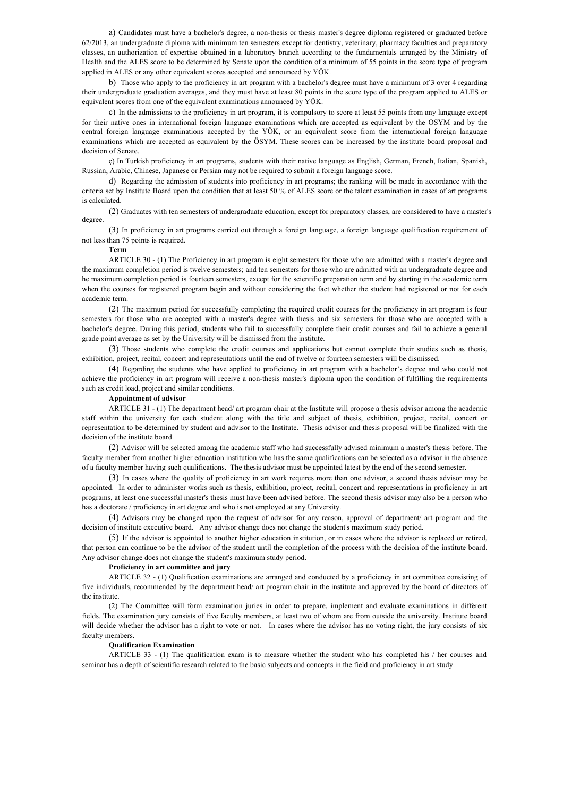a) Candidates must have a bachelor's degree, a non-thesis or thesis master's degree diploma registered or graduated before 62/2013, an undergraduate diploma with minimum ten semesters except for dentistry, veterinary, pharmacy faculties and preparatory classes, an authorization of expertise obtained in a laboratory branch according to the fundamentals arranged by the Ministry of Health and the ALES score to be determined by Senate upon the condition of a minimum of 55 points in the score type of program applied in ALES or any other equivalent scores accepted and announced by YÖK.

b) Those who apply to the proficiency in art program with a bachelor's degree must have a minimum of 3 over 4 regarding their undergraduate graduation averages, and they must have at least 80 points in the score type of the program applied to ALES or equivalent scores from one of the equivalent examinations announced by YÖK.

c) In the admissions to the proficiency in art program, it is compulsory to score at least 55 points from any language except for their native ones in international foreign language examinations which are accepted as equivalent by the OSYM and by the central foreign language examinations accepted by the YÖK, or an equivalent score from the international foreign language examinations which are accepted as equivalent by the ÖSYM. These scores can be increased by the institute board proposal and decision of Senate.

ç) In Turkish proficiency in art programs, students with their native language as English, German, French, Italian, Spanish, Russian, Arabic, Chinese, Japanese or Persian may not be required to submit a foreign language score.

d) Regarding the admission of students into proficiency in art programs; the ranking will be made in accordance with the criteria set by Institute Board upon the condition that at least 50 % of ALES score or the talent examination in cases of art programs is calculated.

(2) Graduates with ten semesters of undergraduate education, except for preparatory classes, are considered to have a master's degree.

(3) In proficiency in art programs carried out through a foreign language, a foreign language qualification requirement of not less than 75 points is required.

#### **Term**

ARTICLE 30 - (1) The Proficiency in art program is eight semesters for those who are admitted with a master's degree and the maximum completion period is twelve semesters; and ten semesters for those who are admitted with an undergraduate degree and he maximum completion period is fourteen semesters, except for the scientific preparation term and by starting in the academic term when the courses for registered program begin and without considering the fact whether the student had registered or not for each academic term.

(2) The maximum period for successfully completing the required credit courses for the proficiency in art program is four semesters for those who are accepted with a master's degree with thesis and six semesters for those who are accepted with a bachelor's degree. During this period, students who fail to successfully complete their credit courses and fail to achieve a general grade point average as set by the University will be dismissed from the institute.

(3) Those students who complete the credit courses and applications but cannot complete their studies such as thesis, exhibition, project, recital, concert and representations until the end of twelve or fourteen semesters will be dismissed.

(4) Regarding the students who have applied to proficiency in art program with a bachelor's degree and who could not achieve the proficiency in art program will receive a non-thesis master's diploma upon the condition of fulfilling the requirements such as credit load, project and similar conditions.

# **Appointment of advisor**

ARTICLE 31 - (1) The department head/ art program chair at the Institute will propose a thesis advisor among the academic staff within the university for each student along with the title and subject of thesis, exhibition, project, recital, concert or representation to be determined by student and advisor to the Institute. Thesis advisor and thesis proposal will be finalized with the decision of the institute board.

(2) Advisor will be selected among the academic staff who had successfully advised minimum a master's thesis before. The faculty member from another higher education institution who has the same qualifications can be selected as a advisor in the absence of a faculty member having such qualifications. The thesis advisor must be appointed latest by the end of the second semester.

(3) In cases where the quality of proficiency in art work requires more than one advisor, a second thesis advisor may be appointed. In order to administer works such as thesis, exhibition, project, recital, concert and representations in proficiency in art programs, at least one successful master's thesis must have been advised before. The second thesis advisor may also be a person who has a doctorate / proficiency in art degree and who is not employed at any University.

(4) Advisors may be changed upon the request of advisor for any reason, approval of department/ art program and the decision of institute executive board. Any advisor change does not change the student's maximum study period.

(5) If the advisor is appointed to another higher education institution, or in cases where the advisor is replaced or retired, that person can continue to be the advisor of the student until the completion of the process with the decision of the institute board. Any advisor change does not change the student's maximum study period.

#### **Proficiency in art committee and jury**

ARTICLE 32 - (1) Qualification examinations are arranged and conducted by a proficiency in art committee consisting of five individuals, recommended by the department head/ art program chair in the institute and approved by the board of directors of the institute.

(2) The Committee will form examination juries in order to prepare, implement and evaluate examinations in different fields. The examination jury consists of five faculty members, at least two of whom are from outside the university. Institute board will decide whether the advisor has a right to vote or not. In cases where the advisor has no voting right, the jury consists of six faculty members.

### **Qualification Examination**

ARTICLE 33 - (1) The qualification exam is to measure whether the student who has completed his / her courses and seminar has a depth of scientific research related to the basic subjects and concepts in the field and proficiency in art study.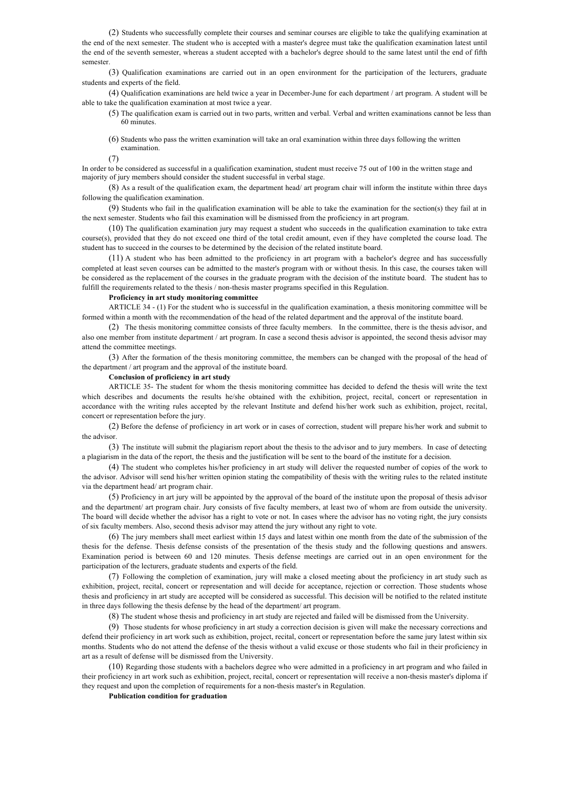(2) Students who successfully complete their courses and seminar courses are eligible to take the qualifying examination at the end of the next semester. The student who is accepted with a master's degree must take the qualification examination latest until the end of the seventh semester, whereas a student accepted with a bachelor's degree should to the same latest until the end of fifth semester.

(3) Qualification examinations are carried out in an open environment for the participation of the lecturers, graduate students and experts of the field.

(4) Qualification examinations are held twice a year in December-June for each department / art program. A student will be able to take the qualification examination at most twice a year.

(5) The qualification exam is carried out in two parts, written and verbal. Verbal and written examinations cannot be less than 60 minutes.

(6) Students who pass the written examination will take an oral examination within three days following the written examination.

(7)

In order to be considered as successful in a qualification examination, student must receive 75 out of 100 in the written stage and majority of jury members should consider the student successful in verbal stage.

(8) As a result of the qualification exam, the department head/ art program chair will inform the institute within three days following the qualification examination.

(9) Students who fail in the qualification examination will be able to take the examination for the section(s) they fail at in the next semester. Students who fail this examination will be dismissed from the proficiency in art program.

(10) The qualification examination jury may request a student who succeeds in the qualification examination to take extra course(s), provided that they do not exceed one third of the total credit amount, even if they have completed the course load. The student has to succeed in the courses to be determined by the decision of the related institute board.

(11) A student who has been admitted to the proficiency in art program with a bachelor's degree and has successfully completed at least seven courses can be admitted to the master's program with or without thesis. In this case, the courses taken will be considered as the replacement of the courses in the graduate program with the decision of the institute board. The student has to fulfill the requirements related to the thesis / non-thesis master programs specified in this Regulation.

# **Proficiency in art study monitoring committee**

ARTICLE 34 - (1) For the student who is successful in the qualification examination, a thesis monitoring committee will be formed within a month with the recommendation of the head of the related department and the approval of the institute board.

(2) The thesis monitoring committee consists of three faculty members. In the committee, there is the thesis advisor, and also one member from institute department / art program. In case a second thesis advisor is appointed, the second thesis advisor may attend the committee meetings.

(3) After the formation of the thesis monitoring committee, the members can be changed with the proposal of the head of the department / art program and the approval of the institute board.

# **Conclusion of proficiency in art study**

ARTICLE 35- The student for whom the thesis monitoring committee has decided to defend the thesis will write the text which describes and documents the results he/she obtained with the exhibition, project, recital, concert or representation in accordance with the writing rules accepted by the relevant Institute and defend his/her work such as exhibition, project, recital, concert or representation before the jury.

(2) Before the defense of proficiency in art work or in cases of correction, student will prepare his/her work and submit to the advisor.

(3) The institute will submit the plagiarism report about the thesis to the advisor and to jury members. In case of detecting a plagiarism in the data of the report, the thesis and the justification will be sent to the board of the institute for a decision.

(4) The student who completes his/her proficiency in art study will deliver the requested number of copies of the work to the advisor. Advisor will send his/her written opinion stating the compatibility of thesis with the writing rules to the related institute via the department head/ art program chair.

(5) Proficiency in art jury will be appointed by the approval of the board of the institute upon the proposal of thesis advisor and the department/ art program chair. Jury consists of five faculty members, at least two of whom are from outside the university. The board will decide whether the advisor has a right to vote or not. In cases where the advisor has no voting right, the jury consists of six faculty members. Also, second thesis advisor may attend the jury without any right to vote.

(6) The jury members shall meet earliest within 15 days and latest within one month from the date of the submission of the thesis for the defense. Thesis defense consists of the presentation of the thesis study and the following questions and answers. Examination period is between 60 and 120 minutes. Thesis defense meetings are carried out in an open environment for the participation of the lecturers, graduate students and experts of the field.

(7) Following the completion of examination, jury will make a closed meeting about the proficiency in art study such as exhibition, project, recital, concert or representation and will decide for acceptance, rejection or correction. Those students whose thesis and proficiency in art study are accepted will be considered as successful. This decision will be notified to the related institute in three days following the thesis defense by the head of the department/ art program.

(8) The student whose thesis and proficiency in art study are rejected and failed will be dismissed from the University.

(9) Those students for whose proficiency in art study a correction decision is given will make the necessary corrections and defend their proficiency in art work such as exhibition, project, recital, concert or representation before the same jury latest within six months. Students who do not attend the defense of the thesis without a valid excuse or those students who fail in their proficiency in art as a result of defense will be dismissed from the University.

(10) Regarding those students with a bachelors degree who were admitted in a proficiency in art program and who failed in their proficiency in art work such as exhibition, project, recital, concert or representation will receive a non-thesis master's diploma if they request and upon the completion of requirements for a non-thesis master's in Regulation.

**Publication condition for graduation**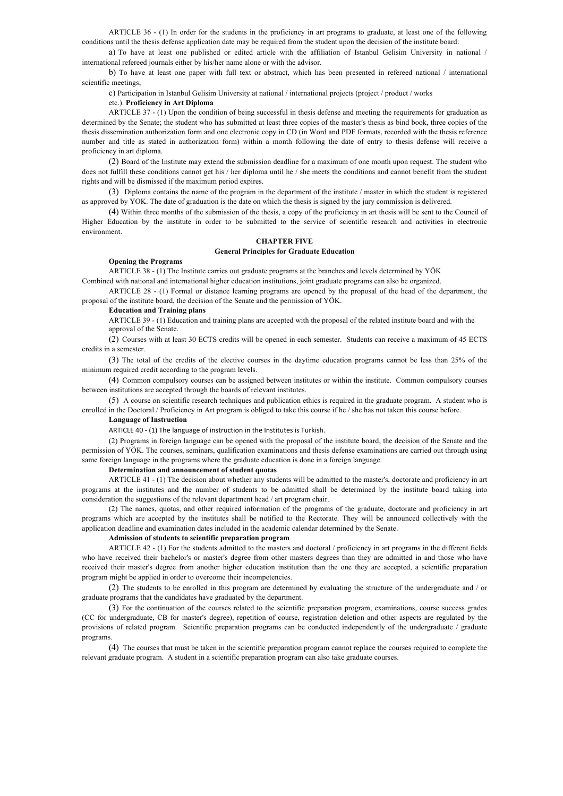ARTICLE 36 - (1) In order for the students in the proficiency in art programs to graduate, at least one of the following conditions until the thesis defense application date may be required from the student upon the decision of the institute board:

a) To have at least one published or edited article with the affiliation of Istanbul Gelisim University in national / international refereed journals either by his/her name alone or with the advisor.

b) To have at least one paper with full text or abstract, which has been presented in refereed national / international scientific meetings,

c) Participation in Istanbul Gelisim University at national / international projects (project / product / works

### etc.). **Proficiency in Art Diploma**

ARTICLE 37 - (1) Upon the condition of being successful in thesis defense and meeting the requirements for graduation as determined by the Senate; the student who has submitted at least three copies of the master's thesis as bind book, three copies of the thesis dissemination authorization form and one electronic copy in CD (in Word and PDF formats, recorded with the thesis reference number and title as stated in authorization form) within a month following the date of entry to thesis defense will receive a proficiency in art diploma.

(2) Board of the Institute may extend the submission deadline for a maximum of one month upon request. The student who does not fulfill these conditions cannot get his / her diploma until he / she meets the conditions and cannot benefit from the student rights and will be dismissed if the maximum period expires.

(3) Diploma contains the name of the program in the department of the institute / master in which the student is registered as approved by YOK. The date of graduation is the date on which the thesis is signed by the jury commission is delivered.

(4) Within three months of the submission of the thesis, a copy of the proficiency in art thesis will be sent to the Council of Higher Education by the institute in order to be submitted to the service of scientific research and activities in electronic environment.

# **CHAPTER FIVE**

### **General Principles for Graduate Education**

# **Opening the Programs**

ARTICLE 38 - (1) The Institute carries out graduate programs at the branches and levels determined by YÖK Combined with national and international higher education institutions, joint graduate programs can also be organized.

ARTICLE 28 - (1) Formal or distance learning programs are opened by the proposal of the head of the department, the proposal of the institute board, the decision of the Senate and the permission of YÖK.

### **Education and Training plans**

ARTICLE 39 - (1) Education and training plans are accepted with the proposal of the related institute board and with the approval of the Senate.

(2) Courses with at least 30 ECTS credits will be opened in each semester. Students can receive a maximum of 45 ECTS credits in a semester.

(3) The total of the credits of the elective courses in the daytime education programs cannot be less than 25% of the minimum required credit according to the program levels.

(4) Common compulsory courses can be assigned between institutes or within the institute. Common compulsory courses between institutions are accepted through the boards of relevant institutes.

(5) A course on scientific research techniques and publication ethics is required in the graduate program. A student who is enrolled in the Doctoral / Proficiency in Art program is obliged to take this course if he / she has not taken this course before.

# **Language of Instruction**

ARTICLE 40 - (1) The language of instruction in the Institutes is Turkish.

(2) Programs in foreign language can be opened with the proposal of the institute board, the decision of the Senate and the permission of YÖK. The courses, seminars, qualification examinations and thesis defense examinations are carried out through using same foreign language in the programs where the graduate education is done in a foreign language.

### **Determination and announcement of student quotas**

ARTICLE 41 - (1) The decision about whether any students will be admitted to the master's, doctorate and proficiency in art programs at the institutes and the number of students to be admitted shall be determined by the institute board taking into consideration the suggestions of the relevant department head / art program chair.

(2) The names, quotas, and other required information of the programs of the graduate, doctorate and proficiency in art programs which are accepted by the institutes shall be notified to the Rectorate. They will be announced collectively with the application deadline and examination dates included in the academic calendar determined by the Senate.

# **Admission of students to scientific preparation program**

ARTICLE 42 - (1) For the students admitted to the masters and doctoral / proficiency in art programs in the different fields who have received their bachelor's or master's degree from other masters degrees than they are admitted in and those who have received their master's degree from another higher education institution than the one they are accepted, a scientific preparation program might be applied in order to overcome their incompetencies.

(2) The students to be enrolled in this program are determined by evaluating the structure of the undergraduate and / or graduate programs that the candidates have graduated by the department.

(3) For the continuation of the courses related to the scientific preparation program, examinations, course success grades (CC for undergraduate, CB for master's degree), repetition of course, registration deletion and other aspects are regulated by the provisions of related program. Scientific preparation programs can be conducted independently of the undergraduate / graduate programs.

(4) The courses that must be taken in the scientific preparation program cannot replace the courses required to complete the relevant graduate program. A student in a scientific preparation program can also take graduate courses.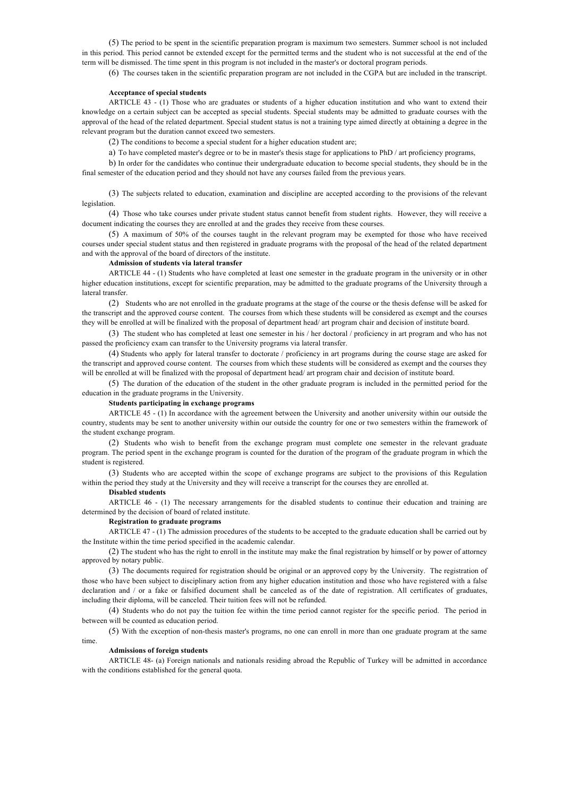(5) The period to be spent in the scientific preparation program is maximum two semesters. Summer school is not included in this period. This period cannot be extended except for the permitted terms and the student who is not successful at the end of the term will be dismissed. The time spent in this program is not included in the master's or doctoral program periods.

(6) The courses taken in the scientific preparation program are not included in the CGPA but are included in the transcript.

# **Acceptance of special students**

ARTICLE 43 - (1) Those who are graduates or students of a higher education institution and who want to extend their knowledge on a certain subject can be accepted as special students. Special students may be admitted to graduate courses with the approval of the head of the related department. Special student status is not a training type aimed directly at obtaining a degree in the relevant program but the duration cannot exceed two semesters.

(2) The conditions to become a special student for a higher education student are;

a) To have completed master's degree or to be in master's thesis stage for applications to PhD / art proficiency programs,

b) In order for the candidates who continue their undergraduate education to become special students, they should be in the final semester of the education period and they should not have any courses failed from the previous years.

(3) The subjects related to education, examination and discipline are accepted according to the provisions of the relevant legislation.

(4) Those who take courses under private student status cannot benefit from student rights. However, they will receive a document indicating the courses they are enrolled at and the grades they receive from these courses.

(5) A maximum of 50% of the courses taught in the relevant program may be exempted for those who have received courses under special student status and then registered in graduate programs with the proposal of the head of the related department and with the approval of the board of directors of the institute.

# **Admission of students via lateral transfer**

ARTICLE 44 - (1) Students who have completed at least one semester in the graduate program in the university or in other higher education institutions, except for scientific preparation, may be admitted to the graduate programs of the University through a lateral transfer.

(2) Students who are not enrolled in the graduate programs at the stage of the course or the thesis defense will be asked for the transcript and the approved course content. The courses from which these students will be considered as exempt and the courses they will be enrolled at will be finalized with the proposal of department head/ art program chair and decision of institute board.

(3) The student who has completed at least one semester in his / her doctoral / proficiency in art program and who has not passed the proficiency exam can transfer to the University programs via lateral transfer.

(4) Students who apply for lateral transfer to doctorate / proficiency in art programs during the course stage are asked for the transcript and approved course content. The courses from which these students will be considered as exempt and the courses they will be enrolled at will be finalized with the proposal of department head/ art program chair and decision of institute board.

(5) The duration of the education of the student in the other graduate program is included in the permitted period for the education in the graduate programs in the University.

# **Students participating in exchange programs**

ARTICLE 45 - (1) In accordance with the agreement between the University and another university within our outside the country, students may be sent to another university within our outside the country for one or two semesters within the framework of the student exchange program.

(2) Students who wish to benefit from the exchange program must complete one semester in the relevant graduate program. The period spent in the exchange program is counted for the duration of the program of the graduate program in which the student is registered.

(3) Students who are accepted within the scope of exchange programs are subject to the provisions of this Regulation within the period they study at the University and they will receive a transcript for the courses they are enrolled at.

# **Disabled students**

ARTICLE 46 - (1) The necessary arrangements for the disabled students to continue their education and training are determined by the decision of board of related institute.

# **Registration to graduate programs**

ARTICLE 47 - (1) The admission procedures of the students to be accepted to the graduate education shall be carried out by the Institute within the time period specified in the academic calendar.

(2) The student who has the right to enroll in the institute may make the final registration by himself or by power of attorney approved by notary public.

(3) The documents required for registration should be original or an approved copy by the University. The registration of those who have been subject to disciplinary action from any higher education institution and those who have registered with a false declaration and / or a fake or falsified document shall be canceled as of the date of registration. All certificates of graduates, including their diploma, will be canceled. Their tuition fees will not be refunded.

(4) Students who do not pay the tuition fee within the time period cannot register for the specific period. The period in between will be counted as education period.

(5) With the exception of non-thesis master's programs, no one can enroll in more than one graduate program at the same time.

### **Admissions of foreign students**

ARTICLE 48- (a) Foreign nationals and nationals residing abroad the Republic of Turkey will be admitted in accordance with the conditions established for the general quota.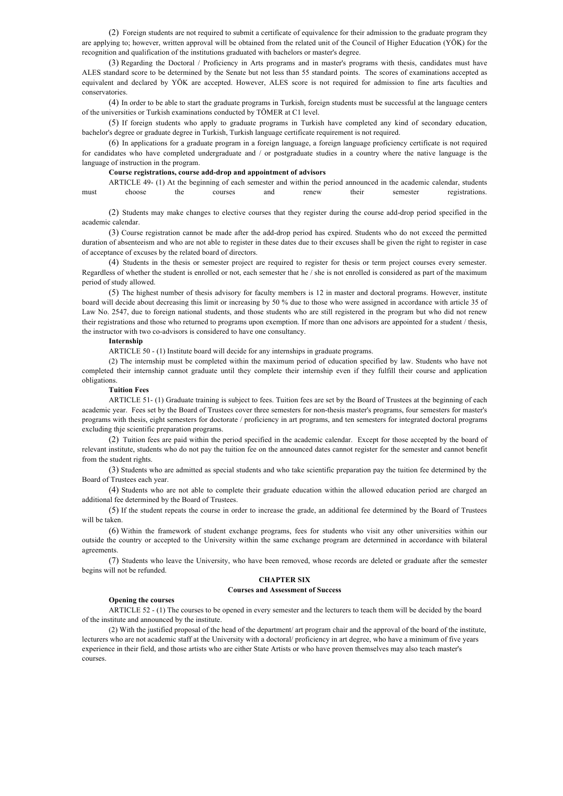(2) Foreign students are not required to submit a certificate of equivalence for their admission to the graduate program they are applying to; however, written approval will be obtained from the related unit of the Council of Higher Education (YÖK) for the recognition and qualification of the institutions graduated with bachelors or master's degree.

(3) Regarding the Doctoral / Proficiency in Arts programs and in master's programs with thesis, candidates must have ALES standard score to be determined by the Senate but not less than 55 standard points. The scores of examinations accepted as equivalent and declared by YÖK are accepted. However, ALES score is not required for admission to fine arts faculties and conservatories.

(4) In order to be able to start the graduate programs in Turkish, foreign students must be successful at the language centers of the universities or Turkish examinations conducted by TÖMER at C1 level.

(5) If foreign students who apply to graduate programs in Turkish have completed any kind of secondary education, bachelor's degree or graduate degree in Turkish, Turkish language certificate requirement is not required.

(6) In applications for a graduate program in a foreign language, a foreign language proficiency certificate is not required for candidates who have completed undergraduate and / or postgraduate studies in a country where the native language is the language of instruction in the program.

# **Course registrations, course add-drop and appointment of advisors**

ARTICLE 49- (1) At the beginning of each semester and within the period announced in the academic calendar, students must choose the courses and renew their semester registrations.

(2) Students may make changes to elective courses that they register during the course add-drop period specified in the academic calendar.

(3) Course registration cannot be made after the add-drop period has expired. Students who do not exceed the permitted duration of absenteeism and who are not able to register in these dates due to their excuses shall be given the right to register in case of acceptance of excuses by the related board of directors.

(4) Students in the thesis or semester project are required to register for thesis or term project courses every semester. Regardless of whether the student is enrolled or not, each semester that he / she is not enrolled is considered as part of the maximum period of study allowed.

(5) The highest number of thesis advisory for faculty members is 12 in master and doctoral programs. However, institute board will decide about decreasing this limit or increasing by 50 % due to those who were assigned in accordance with article 35 of Law No. 2547, due to foreign national students, and those students who are still registered in the program but who did not renew their registrations and those who returned to programs upon exemption. If more than one advisors are appointed for a student / thesis, the instructor with two co-advisors is considered to have one consultancy.

### **Internship**

ARTICLE 50 - (1) Institute board will decide for any internships in graduate programs.

(2) The internship must be completed within the maximum period of education specified by law. Students who have not completed their internship cannot graduate until they complete their internship even if they fulfill their course and application obligations.

### **Tuition Fees**

ARTICLE 51- (1) Graduate training is subject to fees. Tuition fees are set by the Board of Trustees at the beginning of each academic year. Fees set by the Board of Trustees cover three semesters for non-thesis master's programs, four semesters for master's programs with thesis, eight semesters for doctorate / proficiency in art programs, and ten semesters for integrated doctoral programs excluding thje scientific preparation programs.

(2) Tuition fees are paid within the period specified in the academic calendar. Except for those accepted by the board of relevant institute, students who do not pay the tuition fee on the announced dates cannot register for the semester and cannot benefit from the student rights.

(3) Students who are admitted as special students and who take scientific preparation pay the tuition fee determined by the Board of Trustees each year.

(4) Students who are not able to complete their graduate education within the allowed education period are charged an additional fee determined by the Board of Trustees.

(5) If the student repeats the course in order to increase the grade, an additional fee determined by the Board of Trustees will be taken.

(6) Within the framework of student exchange programs, fees for students who visit any other universities within our outside the country or accepted to the University within the same exchange program are determined in accordance with bilateral agreements.

(7) Students who leave the University, who have been removed, whose records are deleted or graduate after the semester begins will not be refunded.

### **CHAPTER SIX**

# **Courses and Assessment of Success**

### **Opening the courses**

ARTICLE 52 - (1) The courses to be opened in every semester and the lecturers to teach them will be decided by the board of the institute and announced by the institute.

(2) With the justified proposal of the head of the department/ art program chair and the approval of the board of the institute, lecturers who are not academic staff at the University with a doctoral/ proficiency in art degree, who have a minimum of five years experience in their field, and those artists who are either State Artists or who have proven themselves may also teach master's courses.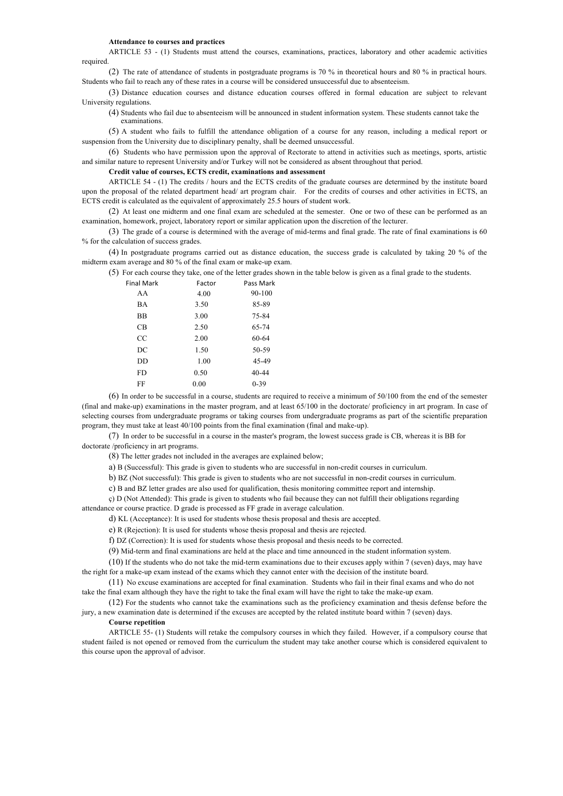#### **Attendance to courses and practices**

ARTICLE 53 - (1) Students must attend the courses, examinations, practices, laboratory and other academic activities required.

(2) The rate of attendance of students in postgraduate programs is 70 % in theoretical hours and 80 % in practical hours. Students who fail to reach any of these rates in a course will be considered unsuccessful due to absenteeism.

(3) Distance education courses and distance education courses offered in formal education are subject to relevant University regulations.

(4) Students who fail due to absenteeism will be announced in student information system. These students cannot take the examinations.

(5) A student who fails to fulfill the attendance obligation of a course for any reason, including a medical report or suspension from the University due to disciplinary penalty, shall be deemed unsuccessful.

(6) Students who have permission upon the approval of Rectorate to attend in activities such as meetings, sports, artistic and similar nature to represent University and/or Turkey will not be considered as absent throughout that period.

**Credit value of courses, ECTS credit, examinations and assessment**

ARTICLE 54 - (1) The credits / hours and the ECTS credits of the graduate courses are determined by the institute board upon the proposal of the related department head/ art program chair. For the credits of courses and other activities in ECTS, an ECTS credit is calculated as the equivalent of approximately 25.5 hours of student work.

(2) At least one midterm and one final exam are scheduled at the semester. One or two of these can be performed as an examination, homework, project, laboratory report or similar application upon the discretion of the lecturer.

(3) The grade of a course is determined with the average of mid-terms and final grade. The rate of final examinations is 60 % for the calculation of success grades.

(4) In postgraduate programs carried out as distance education, the success grade is calculated by taking 20 % of the midterm exam average and 80 % of the final exam or make-up exam.

(5) For each course they take, one of the letter grades shown in the table below is given as a final grade to the students.

| <b>Final Mark</b> | Factor | Pass Mark |
|-------------------|--------|-----------|
| AA                | 4.00   | 90-100    |
| BA                | 3.50   | 85-89     |
| <b>BB</b>         | 3.00   | 75-84     |
| CB                | 2.50   | 65-74     |
| CC                | 2.00   | 60-64     |
| DC                | 1.50   | 50-59     |
| DD.               | 1.00   | 45-49     |
| FD.               | 0.50   | 40-44     |
| FF                | 0.00   | $0 - 39$  |

(6) In order to be successful in a course, students are required to receive a minimum of 50/100 from the end of the semester (final and make-up) examinations in the master program, and at least 65/100 in the doctorate/ proficiency in art program. In case of selecting courses from undergraduate programs or taking courses from undergraduate programs as part of the scientific preparation program, they must take at least 40/100 points from the final examination (final and make-up).

(7) In order to be successful in a course in the master's program, the lowest success grade is CB, whereas it is BB for doctorate /proficiency in art programs.

(8) The letter grades not included in the averages are explained below;

a) B (Successful): This grade is given to students who are successful in non-credit courses in curriculum.

b) BZ (Not successful): This grade is given to students who are not successful in non-credit courses in curriculum.

c) B and BZ letter grades are also used for qualification, thesis monitoring committee report and internship.

ç) D (Not Attended): This grade is given to students who fail because they can not fulfill their obligations regarding

attendance or course practice. D grade is processed as FF grade in average calculation.

d) KL (Acceptance): It is used for students whose thesis proposal and thesis are accepted.

e) R (Rejection): It is used for students whose thesis proposal and thesis are rejected.

f) DZ (Correction): It is used for students whose thesis proposal and thesis needs to be corrected.

(9) Mid-term and final examinations are held at the place and time announced in the student information system.

(10) If the students who do not take the mid-term examinations due to their excuses apply within 7 (seven) days, may have the right for a make-up exam instead of the exams which they cannot enter with the decision of the institute board.

(11) No excuse examinations are accepted for final examination. Students who fail in their final exams and who do not take the final exam although they have the right to take the final exam will have the right to take the make-up exam.

(12) For the students who cannot take the examinations such as the proficiency examination and thesis defense before the jury, a new examination date is determined if the excuses are accepted by the related institute board within 7 (seven) days.

# **Course repetition**

ARTICLE 55- (1) Students will retake the compulsory courses in which they failed. However, if a compulsory course that student failed is not opened or removed from the curriculum the student may take another course which is considered equivalent to this course upon the approval of advisor.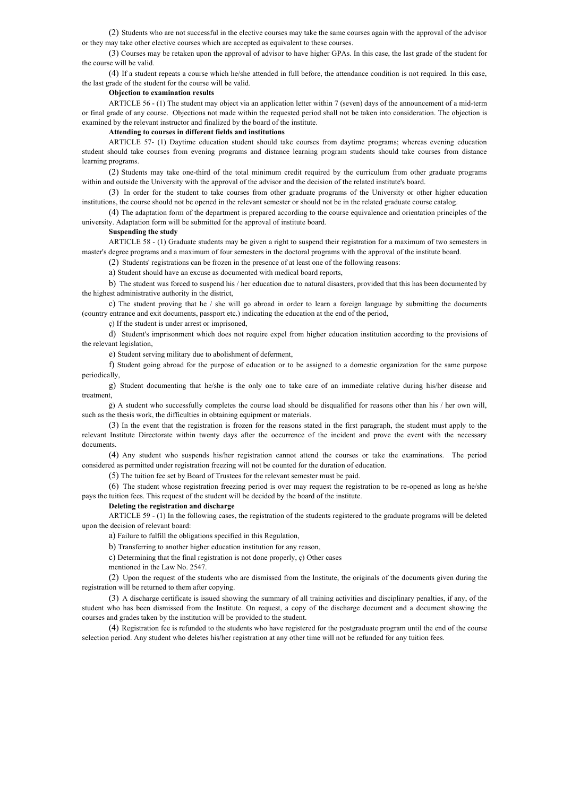(2) Students who are not successful in the elective courses may take the same courses again with the approval of the advisor or they may take other elective courses which are accepted as equivalent to these courses.

(3) Courses may be retaken upon the approval of advisor to have higher GPAs. In this case, the last grade of the student for the course will be valid.

(4) If a student repeats a course which he/she attended in full before, the attendance condition is not required. In this case, the last grade of the student for the course will be valid.

# **Objection to examination results**

ARTICLE 56 - (1) The student may object via an application letter within 7 (seven) days of the announcement of a mid-term or final grade of any course. Objections not made within the requested period shall not be taken into consideration. The objection is examined by the relevant instructor and finalized by the board of the institute.

# **Attending to courses in different fields and institutions**

ARTICLE 57- (1) Daytime education student should take courses from daytime programs; whereas evening education student should take courses from evening programs and distance learning program students should take courses from distance learning programs.

(2) Students may take one-third of the total minimum credit required by the curriculum from other graduate programs within and outside the University with the approval of the advisor and the decision of the related institute's board.

(3) In order for the student to take courses from other graduate programs of the University or other higher education institutions, the course should not be opened in the relevant semester or should not be in the related graduate course catalog.

(4) The adaptation form of the department is prepared according to the course equivalence and orientation principles of the university. Adaptation form will be submitted for the approval of institute board.

### **Suspending the study**

ARTICLE 58 - (1) Graduate students may be given a right to suspend their registration for a maximum of two semesters in master's degree programs and a maximum of four semesters in the doctoral programs with the approval of the institute board.

(2) Students' registrations can be frozen in the presence of at least one of the following reasons:

a) Student should have an excuse as documented with medical board reports,

b) The student was forced to suspend his / her education due to natural disasters, provided that this has been documented by the highest administrative authority in the district,

c) The student proving that he / she will go abroad in order to learn a foreign language by submitting the documents (country entrance and exit documents, passport etc.) indicating the education at the end of the period,

ç) If the student is under arrest or imprisoned,

d) Student's imprisonment which does not require expel from higher education institution according to the provisions of the relevant legislation,

e) Student serving military due to abolishment of deferment,

f) Student going abroad for the purpose of education or to be assigned to a domestic organization for the same purpose periodically,

g) Student documenting that he/she is the only one to take care of an immediate relative during his/her disease and treatment,

ğ) A student who successfully completes the course load should be disqualified for reasons other than his / her own will, such as the thesis work, the difficulties in obtaining equipment or materials.

(3) In the event that the registration is frozen for the reasons stated in the first paragraph, the student must apply to the relevant Institute Directorate within twenty days after the occurrence of the incident and prove the event with the necessary documents.

(4) Any student who suspends his/her registration cannot attend the courses or take the examinations. The period considered as permitted under registration freezing will not be counted for the duration of education.

(5) The tuition fee set by Board of Trustees for the relevant semester must be paid.

(6) The student whose registration freezing period is over may request the registration to be re-opened as long as he/she pays the tuition fees. This request of the student will be decided by the board of the institute.

### **Deleting the registration and discharge**

ARTICLE 59 - (1) In the following cases, the registration of the students registered to the graduate programs will be deleted upon the decision of relevant board:

a) Failure to fulfill the obligations specified in this Regulation,

b) Transferring to another higher education institution for any reason,

c) Determining that the final registration is not done properly, ç) Other cases

mentioned in the Law No. 2547.

(2) Upon the request of the students who are dismissed from the Institute, the originals of the documents given during the registration will be returned to them after copying.

(3) A discharge certificate is issued showing the summary of all training activities and disciplinary penalties, if any, of the student who has been dismissed from the Institute. On request, a copy of the discharge document and a document showing the courses and grades taken by the institution will be provided to the student.

(4) Registration fee is refunded to the students who have registered for the postgraduate program until the end of the course selection period. Any student who deletes his/her registration at any other time will not be refunded for any tuition fees.